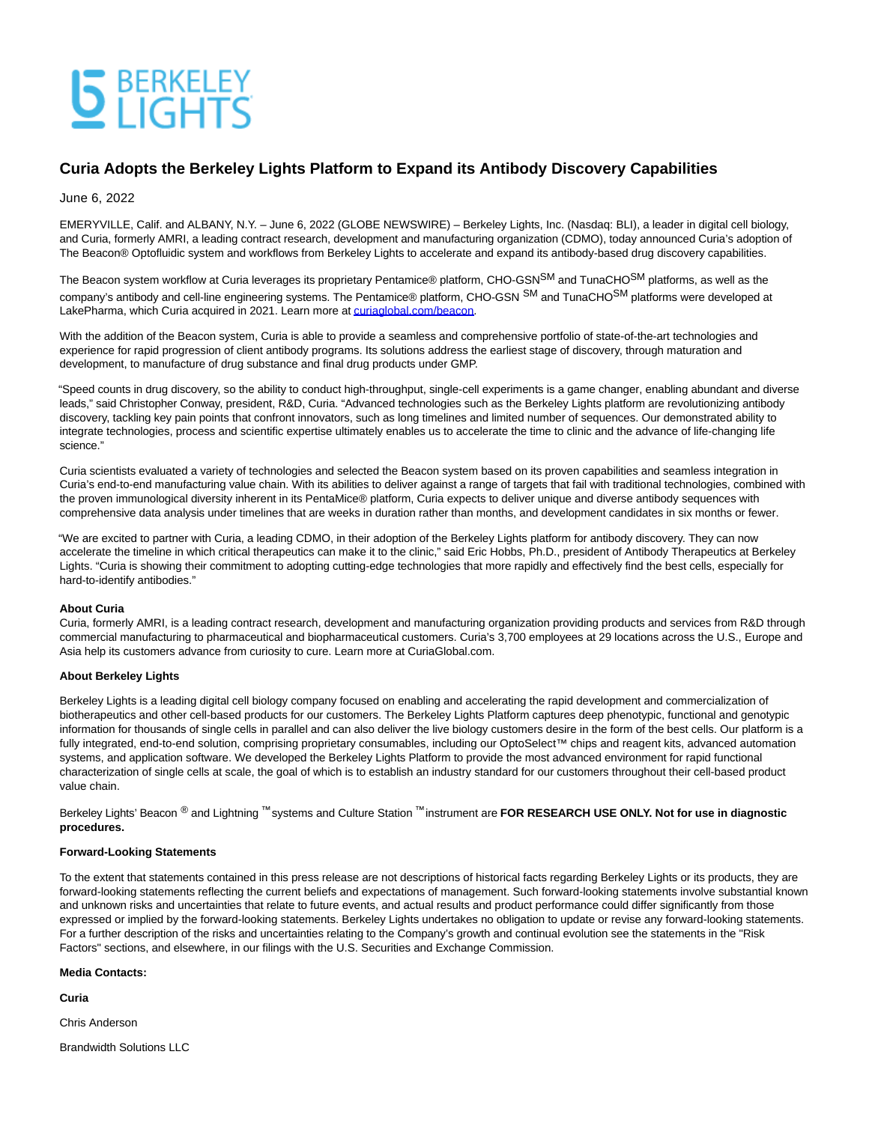# **S BERKELEY**

## **Curia Adopts the Berkeley Lights Platform to Expand its Antibody Discovery Capabilities**

June 6, 2022

EMERYVILLE, Calif. and ALBANY, N.Y. – June 6, 2022 (GLOBE NEWSWIRE) – Berkeley Lights, Inc. (Nasdaq: BLI), a leader in digital cell biology, and Curia, formerly AMRI, a leading contract research, development and manufacturing organization (CDMO), today announced Curia's adoption of The Beacon® Optofluidic system and workflows from Berkeley Lights to accelerate and expand its antibody-based drug discovery capabilities.

The Beacon system workflow at Curia leverages its proprietary Pentamice® platform, CHO-GSN<sup>SM</sup> and TunaCHO<sup>SM</sup> platforms, as well as the company's antibody and cell-line engineering systems. The Pentamice® platform, CHO-GSN <sup>SM</sup> and TunaCHO<sup>SM</sup> platforms were developed at LakePharma, which Curia acquired in 2021. Learn more a[t curiaglobal.com/beacon.](https://curiaglobal.com/beacon/)

With the addition of the Beacon system, Curia is able to provide a seamless and comprehensive portfolio of state-of-the-art technologies and experience for rapid progression of client antibody programs. Its solutions address the earliest stage of discovery, through maturation and development, to manufacture of drug substance and final drug products under GMP.

"Speed counts in drug discovery, so the ability to conduct high-throughput, single-cell experiments is a game changer, enabling abundant and diverse leads," said Christopher Conway, president, R&D, Curia. "Advanced technologies such as the Berkeley Lights platform are revolutionizing antibody discovery, tackling key pain points that confront innovators, such as long timelines and limited number of sequences. Our demonstrated ability to integrate technologies, process and scientific expertise ultimately enables us to accelerate the time to clinic and the advance of life-changing life science."

Curia scientists evaluated a variety of technologies and selected the Beacon system based on its proven capabilities and seamless integration in Curia's end-to-end manufacturing value chain. With its abilities to deliver against a range of targets that fail with traditional technologies, combined with the proven immunological diversity inherent in its PentaMice® platform, Curia expects to deliver unique and diverse antibody sequences with comprehensive data analysis under timelines that are weeks in duration rather than months, and development candidates in six months or fewer.

"We are excited to partner with Curia, a leading CDMO, in their adoption of the Berkeley Lights platform for antibody discovery. They can now accelerate the timeline in which critical therapeutics can make it to the clinic," said Eric Hobbs, Ph.D., president of Antibody Therapeutics at Berkeley Lights. "Curia is showing their commitment to adopting cutting-edge technologies that more rapidly and effectively find the best cells, especially for hard-to-identify antibodies."

#### **About Curia**

Curia, formerly AMRI, is a leading contract research, development and manufacturing organization providing products and services from R&D through commercial manufacturing to pharmaceutical and biopharmaceutical customers. Curia's 3,700 employees at 29 locations across the U.S., Europe and Asia help its customers advance from curiosity to cure. Learn more at CuriaGlobal.com.

#### **About Berkeley Lights**

Berkeley Lights is a leading digital cell biology company focused on enabling and accelerating the rapid development and commercialization of biotherapeutics and other cell-based products for our customers. The Berkeley Lights Platform captures deep phenotypic, functional and genotypic information for thousands of single cells in parallel and can also deliver the live biology customers desire in the form of the best cells. Our platform is a fully integrated, end-to-end solution, comprising proprietary consumables, including our OptoSelect™ chips and reagent kits, advanced automation systems, and application software. We developed the Berkeley Lights Platform to provide the most advanced environment for rapid functional characterization of single cells at scale, the goal of which is to establish an industry standard for our customers throughout their cell-based product value chain.

Berkeley Lights' Beacon ® and Lightning ™ systems and Culture Station ™ instrument are **FOR RESEARCH USE ONLY. Not for use in diagnostic procedures.**

#### **Forward-Looking Statements**

To the extent that statements contained in this press release are not descriptions of historical facts regarding Berkeley Lights or its products, they are forward-looking statements reflecting the current beliefs and expectations of management. Such forward-looking statements involve substantial known and unknown risks and uncertainties that relate to future events, and actual results and product performance could differ significantly from those expressed or implied by the forward-looking statements. Berkeley Lights undertakes no obligation to update or revise any forward-looking statements. For a further description of the risks and uncertainties relating to the Company's growth and continual evolution see the statements in the "Risk Factors" sections, and elsewhere, in our filings with the U.S. Securities and Exchange Commission.

### **Media Contacts:**

**Curia**

Chris Anderson

Brandwidth Solutions LLC